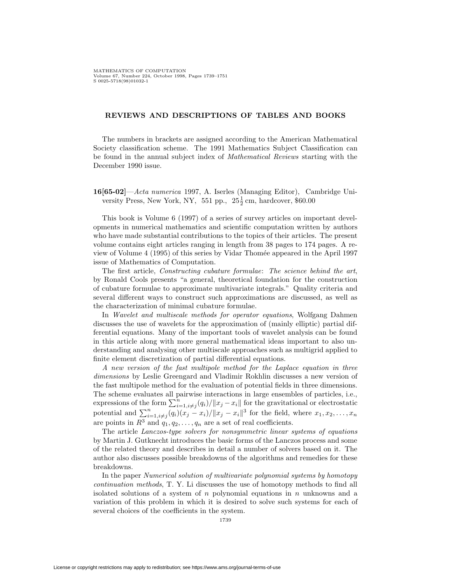# **REVIEWS AND DESCRIPTIONS OF TABLES AND BOOKS**

The numbers in brackets are assigned according to the American Mathematical Society classification scheme. The 1991 Mathematics Subject Classification can be found in the annual subject index of *Mathematical Reviews* starting with the December 1990 issue.

# **16[65-02]**—*Acta numerica* 1997, A. Iserles (Managing Editor), Cambridge University Press, New York, NY, 551 pp.,  $25\frac{1}{2}$  cm, hardcover, \$60.00

This book is Volume 6 (1997) of a series of survey articles on important developments in numerical mathematics and scientific computation written by authors who have made substantial contributions to the topics of their articles. The present volume contains eight articles ranging in length from 38 pages to 174 pages. A review of Volume 4 (1995) of this series by Vidar Thomée appeared in the April 1997 issue of Mathematics of Computation.

The first article, *Constructing cubature formulae*: *The science behind the art*, by Ronald Cools presents "a general, theoretical foundation for the construction of cubature formulae to approximate multivariate integrals." Quality criteria and several different ways to construct such approximations are discussed, as well as the characterization of minimal cubature formulae.

In *Wavelet and multiscale methods for operator equations*, Wolfgang Dahmen discusses the use of wavelets for the approximation of (mainly elliptic) partial differential equations. Many of the important tools of wavelet analysis can be found in this article along with more general mathematical ideas important to also understanding and analysing other multiscale approaches such as multigrid applied to finite element discretization of partial differential equations.

*A new version of the fast multipole method for the Laplace equation in three dimensions* by Leslie Greengard and Vladimir Rokhlin discusses a new version of the fast multipole method for the evaluation of potential fields in three dimensions. The scheme evaluates all pairwise interactions in large ensembles of particles, i.e., expressions of the form  $\sum_{i=1, i\neq j}^{n} (q_i)/||x_j - x_i||$  for the gravitational or electrostatic notatively and  $\sum_{i=1}^{n} (q_i)/||x_i - x_i||^3$  for the field where  $x_i - x_j$ potential and  $\sum_{i=1, i\neq j}^{n} (q_i)(x_j - x_i)/||x_j - x_i||^3$  for the field, where  $x_1, x_2, \ldots, x_n$ are points in  $R^3$  and  $q_1, q_2, \ldots, q_n$  are a set of real coefficients.

The article *Lanczos-type solvers for nonsymmetric linear systems of equations* by Martin J. Gutknecht introduces the basic forms of the Lanczos process and some of the related theory and describes in detail a number of solvers based on it. The author also discusses possible breakdowns of the algorithms and remedies for these breakdowns.

In the paper *Numerical solution of multivariate polynomial systems by homotopy continuation methods*, T. Y. Li discusses the use of homotopy methods to find all isolated solutions of a system of *n* polynomial equations in *n* unknowns and a variation of this problem in which it is desired to solve such systems for each of several choices of the coefficients in the system.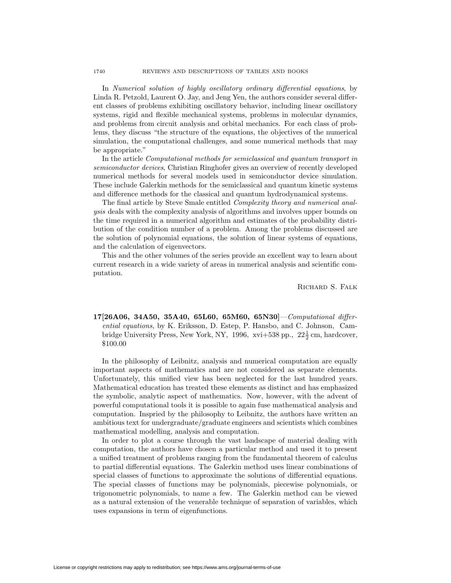In *Numerical solution of highly oscillatory ordinary differential equations*, by Linda R. Petzold, Laurent O. Jay, and Jeng Yen, the authors consider several different classes of problems exhibiting oscillatory behavior, including linear oscillatory systems, rigid and flexible mechanical systems, problems in molecular dynamics, and problems from circuit analysis and orbital mechanics. For each class of problems, they discuss "the structure of the equations, the objectives of the numerical simulation, the computational challenges, and some numerical methods that may be appropriate."

In the article *Computational methods for semiclassical and quantum transport in semiconductor devices*, Christian Ringhofer gives an overview of recently developed numerical methods for several models used in semiconductor device simulation. These include Galerkin methods for the semiclassical and quantum kinetic systems and difference methods for the classical and quantum hydrodynamical systems.

The final article by Steve Smale entitled *Complexity theory and numerical analysis* deals with the complexity analysis of algorithms and involves upper bounds on the time required in a numerical algorithm and estimates of the probability distribution of the condition number of a problem. Among the problems discussed are the solution of polynomial equations, the solution of linear systems of equations, and the calculation of eigenvectors.

This and the other volumes of the series provide an excellent way to learn about current research in a wide variety of areas in numerical analysis and scientific computation.

Richard S. Falk

**17[26A06, 34A50, 35A40, 65L60, 65M60, 65N30]**—*Computational differential equations*, by K. Eriksson, D. Estep, P. Hansbo, and C. Johnson, Cambridge University Press, New York, NY, 1996, xvi+538 pp.,  $22\frac{1}{2}$  cm, hardcover, \$100.00

In the philosophy of Leibnitz, analysis and numerical computation are equally important aspects of mathematics and are not considered as separate elements. Unfortunately, this unified view has been neglected for the last hundred years. Mathematical education has treated these elements as distinct and has emphasized the symbolic, analytic aspect of mathematics. Now, however, with the advent of powerful computational tools it is possible to again fuse mathematical analysis and computation. Inspried by the philosophy to Leibnitz, the authors have written an ambitious text for undergraduate/graduate engineers and scientists which combines mathematical modelling, analysis and computation.

In order to plot a course through the vast landscape of material dealing with computation, the authors have chosen a particular method and used it to present a unified treatment of problems ranging from the fundamental theorem of calculus to partial differential equations. The Galerkin method uses linear combinations of special classes of functions to approximate the solutions of differential equations. The special classes of functions may be polynomials, piecewise polynomials, or trigonometric polynomials, to name a few. The Galerkin method can be viewed as a natural extension of the venerable technique of separation of variables, which uses expansions in term of eigenfunctions.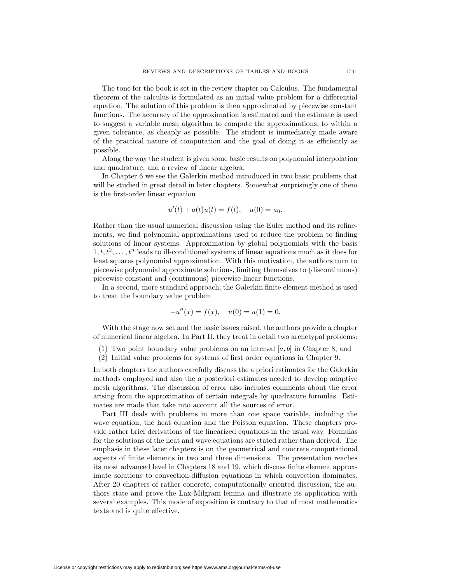The tone for the book is set in the review chapter on Calculus. The fundamental theorem of the calculus is formulated as an initial value problem for a differential equation. The solution of this problem is then approximated by piecewise constant functions. The accuracy of the approximation is estimated and the estimate is used to suggest a variable mesh algorithm to compute the approximations, to within a given tolerance, as cheaply as possible. The student is immediately made aware of the practical nature of computation and the goal of doing it as efficiently as possible.

Along the way the student is given some basic results on polynomial interpolation and quadrature, and a review of linear algebra.

In Chapter 6 we see the Galerkin method introduced in two basic problems that will be studied in great detail in later chapters. Somewhat surprisingly one of them is the first-order linear equation

$$
u'(t) + a(t)u(t) = f(t), \quad u(0) = u_0.
$$

Rather than the usual numerical discussion using the Euler method and its refinements, we find polynomial approximations used to reduce the problem to finding solutions of linear systems. Approximation by global polynomials with the basis  $1, t, t<sup>2</sup>, \ldots, t<sup>n</sup>$  leads to ill-conditioned systems of linear equations much as it does for least squares polynomial approximation. With this motivation, the authors turn to piecewise polynomial approximate solutions, limiting themselves to (discontinuous) piecewise constant and (continuous) piecewise linear functions.

In a second, more standard approach, the Galerkin finite element method is used to treat the boundary value problem

$$
-u''(x) = f(x), \quad u(0) = u(1) = 0.
$$

With the stage now set and the basic issues raised, the authors provide a chapter of numerical linear algebra. In Part II, they treat in detail two archetypal problems:

- (1) Two point boundary value problems on an interval [*a, b*] in Chapter 8, and
- (2) Initial value problems for systems of first order equations in Chapter 9.

In both chapters the authors carefully discuss the a priori estimates for the Galerkin methods employed and also the a posteriori estimates needed to develop adaptive mesh algorithms. The discussion of error also includes comments about the error arising from the approximation of certain integrals by quadrature formulas. Estimates are made that take into account all the sources of error.

Part III deals with problems in more than one space variable, including the wave equation, the heat equation and the Poisson equation. These chapters provide rather brief derivations of the linearized equations in the usual way. Formulas for the solutions of the heat and wave equations are stated rather than derived. The emphasis in these later chapters is on the geometrical and concrete computational aspects of finite elements in two and three dimensions. The presentation reaches its most advanced level in Chapters 18 and 19, which discuss finite element approximate solutions to convection-diffusion equations in which convection dominates. After 20 chapters of rather concrete, computationally oriented discussion, the authors state and prove the Lax-Milgram lemma and illustrate its application with several examples. This mode of exposition is contrary to that of most mathematics texts and is quite effective.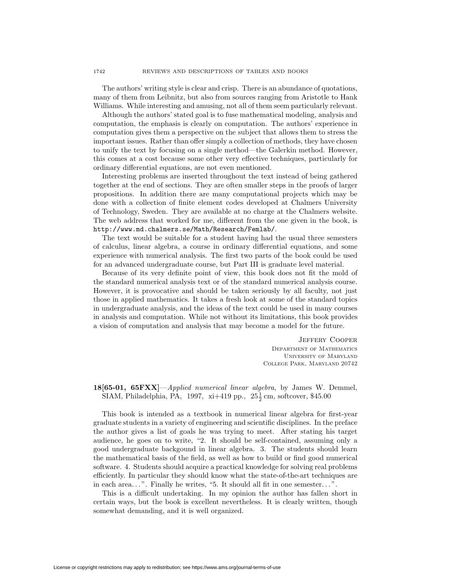The authors' writing style is clear and crisp. There is an abundance of quotations, many of them from Leibnitz, but also from sources ranging from Aristotle to Hank Williams. While interesting and amusing, not all of them seem particularly relevant.

Although the authors' stated goal is to fuse mathematical modeling, analysis and computation, the emphasis is clearly on computation. The authors' experience in computation gives them a perspective on the subject that allows them to stress the important issues. Rather than offer simply a collection of methods, they have chosen to unify the text by focusing on a single method—the Galerkin method. However, this comes at a cost because some other very effective techniques, particularly for ordinary differential equations, are not even mentioned.

Interesting problems are inserted throughout the text instead of being gathered together at the end of sections. They are often smaller steps in the proofs of larger propositions. In addition there are many computational projects which may be done with a collection of finite element codes developed at Chalmers University of Technology, Sweden. They are available at no charge at the Chalmers website. The web address that worked for me, different from the one given in the book, is http://www.md.chalmers.se/Math/Research/Femlab/.

The text would be suitable for a student having had the usual three semesters of calculus, linear algebra, a course in ordinary differential equations, and some experience with numerical analysis. The first two parts of the book could be used for an advanced undergraduate course, but Part III is graduate level material.

Because of its very definite point of view, this book does not fit the mold of the standard numerical analysis text or of the standard numerical analysis course. However, it is provocative and should be taken seriously by all faculty, not just those in applied mathematics. It takes a fresh look at some of the standard topics in undergraduate analysis, and the ideas of the text could be used in many courses in analysis and computation. While not without its limitations, this book provides a vision of computation and analysis that may become a model for the future.

> Jeffery Cooper Department of Mathematics University of Maryland College Park, Maryland 20742

**18[65-01, 65FXX]**—*Applied numerical linear algebra*, by James W. Demmel, SIAM, Philadelphia, PA, 1997,  $xi+419$  pp.,  $25\frac{1}{2}$  cm, softcover, \$45.00

This book is intended as a textbook in numerical linear algebra for first-year graduate students in a variety of engineering and scientific disciplines. In the preface the author gives a list of goals he was trying to meet. After stating his target audience, he goes on to write, "2. It should be self-contained, assuming only a good undergraduate backgound in linear algebra. 3. The students should learn the mathematical basis of the field, as well as how to build or find good numerical software. 4. Students should acquire a practical knowledge for solving real problems efficiently. In particular they should know what the state-of-the-art techniques are in each area*...* ". Finally he writes, "5. It should all fit in one semester*...* ".

This is a difficult undertaking. In my opinion the author has fallen short in certain ways, but the book is excellent nevertheless. It is clearly written, though somewhat demanding, and it is well organized.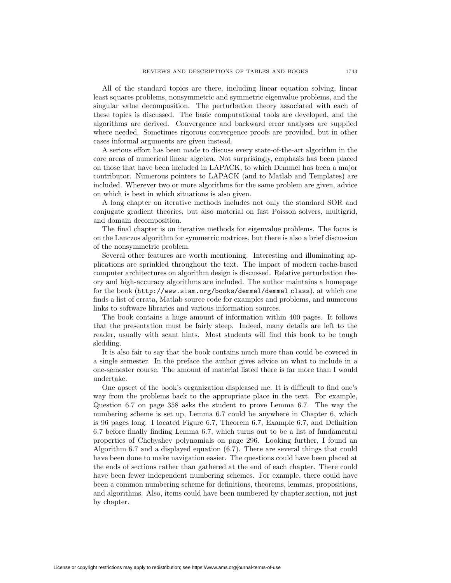All of the standard topics are there, including linear equation solving, linear least squares problems, nonsymmetric and symmetric eigenvalue problems, and the singular value decomposition. The perturbation theory associated with each of these topics is discussed. The basic computational tools are developed, and the algorithms are derived. Convergence and backward error analyses are supplied where needed. Sometimes rigorous convergence proofs are provided, but in other cases informal arguments are given instead.

A serious effort has been made to discuss every state-of-the-art algorithm in the core areas of numerical linear algebra. Not surprisingly, emphasis has been placed on those that have been included in LAPACK, to which Demmel has been a major contributor. Numerous pointers to LAPACK (and to Matlab and Templates) are included. Wherever two or more algorithms for the same problem are given, advice on which is best in which situations is also given.

A long chapter on iterative methods includes not only the standard SOR and conjugate gradient theories, but also material on fast Poisson solvers, multigrid, and domain decomposition.

The final chapter is on iterative methods for eigenvalue problems. The focus is on the Lanczos algorithm for symmetric matrices, but there is also a brief discussion of the nonsymmetric problem.

Several other features are worth mentioning. Interesting and illuminating applications are sprinkled throughout the text. The impact of modern cache-based computer architectures on algorithm design is discussed. Relative perturbation theory and high-accuracy algorithms are included. The author maintains a homepage for the book (http://www.siam.org/books/demmel/demmel class), at which one finds a list of errata, Matlab source code for examples and problems, and numerous links to software libraries and various information sources.

The book contains a huge amount of information within 400 pages. It follows that the presentation must be fairly steep. Indeed, many details are left to the reader, usually with scant hints. Most students will find this book to be tough sledding.

It is also fair to say that the book contains much more than could be covered in a single semester. In the preface the author gives advice on what to include in a one-semester course. The amount of material listed there is far more than I would undertake.

One apsect of the book's organization displeased me. It is difficult to find one's way from the problems back to the appropriate place in the text. For example, Question 6.7 on page 358 asks the student to prove Lemma 6.7. The way the numbering scheme is set up, Lemma 6.7 could be anywhere in Chapter 6, which is 96 pages long. I located Figure 6.7, Theorem 6.7, Example 6.7, and Definition 6.7 before finally finding Lemma 6.7, which turns out to be a list of fundamental properties of Chebyshev polynomials on page 296. Looking further, I found an Algorithm 6.7 and a displayed equation (6.7). There are several things that could have been done to make navigation easier. The questions could have been placed at the ends of sections rather than gathered at the end of each chapter. There could have been fewer independent numbering schemes. For example, there could have been a common numbering scheme for definitions, theorems, lemmas, propositions, and algorithms. Also, items could have been numbered by chapter.section, not just by chapter.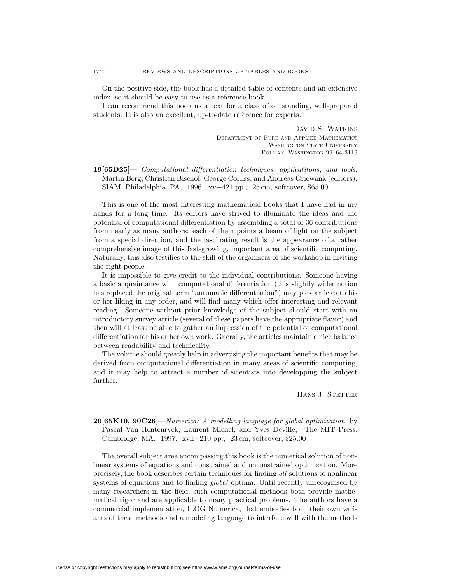On the positive side, the book has a detailed table of contents and an extensive index, so it should be easy to use as a reference book.

I can recommend this book as a text for a class of outstanding, well-prepared students. It is also an excellent, up-to-date reference for experts.

> DAVID S. WATKINS Department of Pure and Applied Mathematics WASHINGTON STATE UNIVERSITY Polman, Washington 99164-3113

**19[65D25]**— *Computational differentiation techniques, applicatitons, and tools*, Martin Berg, Christian Bischof, George Corliss, and Andreas Griewank (editors), SIAM, Philadelphia, PA, 1996, xv+421 pp., 25 cm, softcover, \$65.00

This is one of the most interesting mathematical books that I have had in my hands for a long time. Its editors have strived to illuminate the ideas and the potential of computational differentiation by assembling a total of 36 contributions from nearly as many authors: each of them points a beam of light on the subject from a special direction, and the fascinating result is the appearance of a rather comprehensive image of this fast-growing, important area of scientific computing. Naturally, this also testifies to the skill of the organizers of the workshop in inviting the right people.

It is impossible to give credit to the individual contributions. Someone having a basic acquaintance with computational differentiation (this slightly wider notion has replaced the original term "automatic differentiation") may pick articles to his or her liking in any order, and will find many which offer interesting and relevant reading. Someone without prior knowledge of the subject should start with an introductory survey article (several of these papers have the appropriate flavor) and then will at least be able to gather an impression of the potential of computational differentiation for his or her own work. Gnerally, the articles maintain a nice balance between readability and technicality.

The volume should greatly help in advertising the important benefits that may be derived from computational differentiation in many areas of scientific computing, and it may help to attract a number of scientists into developping the subject further.

HANS J. STETTER

# **20[65K10, 90C26]**—*Numerica: A modelling language for global optimization*, by Pascal Van Hentenryck, Laurent Michel, and Yves Deville, The MIT Press, Cambridge, MA, 1997, xvii+210 pp., 23 cm, softcover, \$25.00

The overall subject area encompassing this book is the numerical solution of nonlinear systems of equations and constrained and unconstrained optimization. More precisely, the book describes certain techniques for finding *all* solutions to nonlinear systems of equations and to finding *global* optima. Until recently unrecognised by many researchers in the field, such computational methods both provide mathematical rigor and are applicable to many practical problems. The authors have a commercial implementation, ILOG Numerica, that embodies both their own variants of these methods and a modeling language to interface well with the methods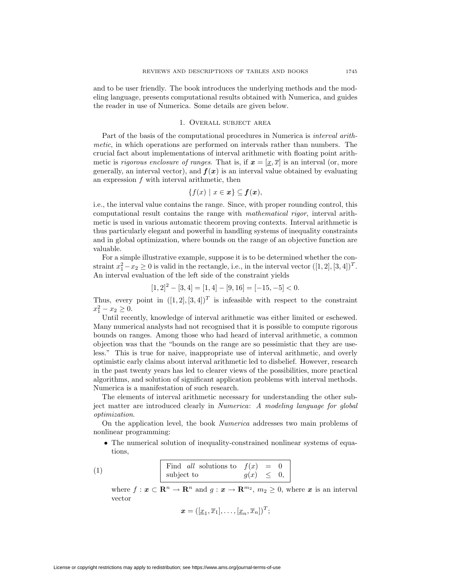and to be user friendly. The book introduces the underlying methods and the modeling language, presents computational results obtained with Numerica, and guides the reader in use of Numerica. Some details are given below.

# 1. Overall subject area

Part of the basis of the computational procedures in Numerica is *interval arithmetic*, in which operations are performed on intervals rather than numbers. The crucial fact about implementations of interval arithmetic with floating point arithmetic is *rigorous enclosure of ranges*. That is, if  $x = [x, \overline{x}]$  is an interval (or, more generally, an interval vector), and  $f(x)$  is an interval value obtained by evaluating an expression *f* with interval arithmetic, then

$$
\{f(x) \mid x \in \mathbf{x}\} \subseteq \mathbf{f}(\mathbf{x}),
$$

i.e., the interval value contains the range. Since, with proper rounding control, this computational result contains the range with *mathematical rigor*, interval arithmetic is used in various automatic theorem proving contexts. Interval arithmetic is thus particularly elegant and powerful in handling systems of inequality constraints and in global optimization, where bounds on the range of an objective function are valuable.

For a simple illustrative example, suppose it is to be determined whether the constraint  $x_1^2 - x_2 \ge 0$  is valid in the rectangle, i.e., in the interval vector  $([1, 2], [3, 4])^T$ .<br>An interval evaluation of the left side of the constraint vields An interval evaluation of the left side of the constraint yields

 $[1, 2]^2 - [3, 4] = [1, 4] - [9, 16] = [-15, -5] < 0.$ 

Thus, every point in  $([1, 2], [3, 4])^T$  is infeasible with respect to the constraint  $x_1^2 - x_2 \geq 0.$ <br>
Intil rece

Until recently, knowledge of interval arithmetic was either limited or eschewed. Many numerical analysts had not recognised that it is possible to compute rigorous bounds on ranges. Among those who had heard of interval arithmetic, a common objection was that the "bounds on the range are so pessimistic that they are useless." This is true for naive, inappropriate use of interval arithmetic, and overly optimistic early claims about interval arithmetic led to disbelief. However, research in the past twenty years has led to clearer views of the possibilities, more practical algorithms, and solution of significant application problems with interval methods. Numerica is a manifestation of such research.

The elements of interval arithmetic necessary for understanding the other subject matter are introduced clearly in *Numerica*: *A modeling language for global optimization*.

On the application level, the book *Numerica* addresses two main problems of nonlinear programming:

• The numerical solution of inequality-constrained nonlinear systems of equations,

(1) Find all solutions to 
$$
f(x) = 0
$$
  
subject to  $g(x) \leq 0$ ,

where  $f: \mathbf{x} \in \mathbb{R}^n \to \mathbb{R}^n$  and  $g: \mathbf{x} \to \mathbb{R}^{m_2}$ ,  $m_2 \geq 0$ , where  $\mathbf{x}$  is an interval vector

$$
\boldsymbol{x} = ([\underline{x}_1, \overline{x}_1], \ldots, [\underline{x}_n, \overline{x}_n])^T;
$$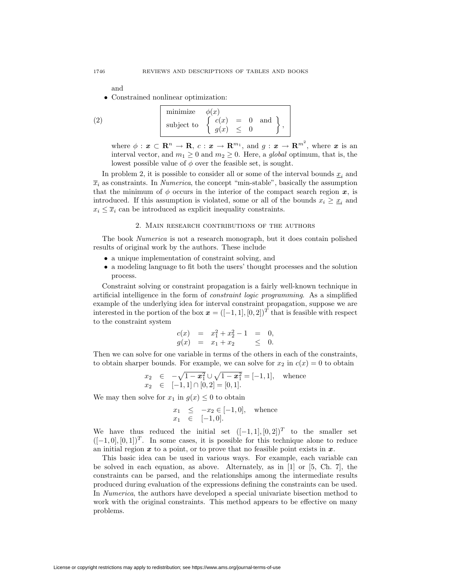and

*•* Constrained nonlinear optimization:

(2) 
$$
\begin{array}{|l|}\n\hline \text{minimize} & \phi(x) \\ \text{subject to} & \begin{cases} c(x) & = & 0 \\ g(x) & \leq & 0 \end{cases} \text{ and } \end{array}
$$

where  $\phi$  :  $\mathbf{x} \subset \mathbf{R}^n \to \mathbf{R}$ ,  $c : \mathbf{x} \to \mathbf{R}^{m_1}$ , and  $g : \mathbf{x} \to \mathbf{R}^{m^2}$ , where  $\mathbf{x}$  is an interval vector, and  $m_i > 0$  and  $m_i > 0$ . Here a *alobel* optimum, that is the interval vector, and  $m_1 \geq 0$  and  $m_2 \geq 0$ . Here, a *global* optimum, that is, the lowest possible value of  $\phi$  over the feasible set, is sought.

In problem 2, it is possible to consider all or some of the interval bounds  $x_i$  and  $\overline{x_i}$  as constraints. In *Numerica*, the concept "min-stable", basically the assumption that the minimum of  $\phi$  occurs in the interior of the compact search region  $x$ , is introduced. If this assumption is violated, some or all of the bounds  $x_i \geq x_i$  and  $x_i \leq \overline{x}_i$  can be introduced as explicit inequality constraints.

### 2. Main research contributions of the authors

The book *Numerica* is not a research monograph, but it does contain polished results of original work by the authors. These include

- *•* a unique implementation of constraint solving, and
- *•* a modeling language to fit both the users' thought processes and the solution process.

Constraint solving or constraint propagation is a fairly well-known technique in artificial intelligence in the form of *constraint logic programming*. As a simplified example of the underlying idea for interval constraint propagation, suppose we are interested in the portion of the box  $x = ([-1, 1], [0, 2])^T$  that is feasible with respect to the constraint system

$$
c(x) = x_1^2 + x_2^2 - 1 = 0,
$$
  
\n
$$
g(x) = x_1 + x_2 \leq 0.
$$

Then we can solve for one variable in terms of the others in each of the constraints, to obtain sharper bounds. For example, we can solve for  $x_2$  in  $c(x) = 0$  to obtain

$$
x_2 \in -\sqrt{1-x_1^2} \cup \sqrt{1-x_1^2} = [-1,1], \text{ whence}
$$
  

$$
x_2 \in [-1,1] \cap [0,2] = [0,1].
$$

We may then solve for  $x_1$  in  $g(x) \leq 0$  to obtain

$$
x_1 \leq -x_2 \in [-1, 0],
$$
 whence  
 $x_1 \in [-1, 0].$ 

We have thus reduced the initial set  $([-1,1],[0,2])^T$  to the smaller set  $([-1,0],[0,1])^T$  In some cases it is possible for this technique alone to reduce  $([-1,0], [0,1])^T$ . In some cases, it is possible for this technique alone to reduce an initial region *x* to a point, or to prove that no feasible point exists in *x*.

This basic idea can be used in various ways. For example, each variable can be solved in each equation, as above. Alternately, as in [1] or [5, Ch. 7], the constraints can be parsed, and the relationships among the intermediate results produced during evaluation of the expressions defining the constraints can be used. In *Numerica*, the authors have developed a special univariate bisection method to work with the original constraints. This method appears to be effective on many problems.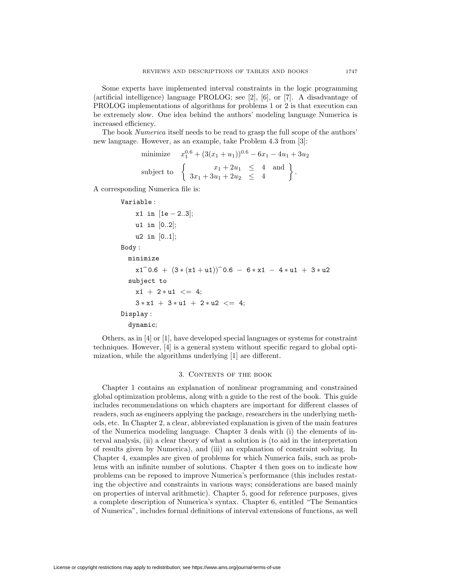Some experts have implemented interval constraints in the logic programming (artificial intelligence) language PROLOG; see [2], [6], or [7]. A disadvantage of PROLOG implementations of algorithms for problems 1 or 2 is that execution can be extremely slow. One idea behind the authors' modeling language Numerica is increased efficiency.

The book *Numerica* itself needs to be read to grasp the full scope of the authors' new language. However, as an example, take Problem 4.3 from [3]:

minimize 
$$
x_1^{0.6} + (3(x_1 + u_1))^{0.6} - 6x_1 - 4u_1 + 3u_2
$$
  
subject to 
$$
\begin{cases} x_1 + 2u_1 \leq 4 \text{ and} \\ 3x_1 + 3u_1 + 2u_2 \leq 4 \end{cases}
$$
.

A corresponding Numerica file is:

Variable :

```
x1 in [1e − 2..3];
    u1 in [0..2];
    u2 in [0..1];
Body :
  minimize
    x1^00.6 + (3*(x1+u1))^0.6 - 6*x1 - 4*u1 + 3*u2subject to
    x1 + 2 ∗ u1 <= 4;
    3 ∗ x1 + 3 ∗ u1 + 2 ∗ u2 <= 4;
Display :
  dynamic;
```
Others, as in [4] or [1], have developed special languages or systems for constraint techniques. However, [4] is a general system without specific regard to global optimization, while the algorithms underlying [1] are different.

### 3. Contents of the book

Chapter 1 contains an explanation of nonlinear programming and constrained global optimization problems, along with a guide to the rest of the book. This guide includes recommendations on which chapters are important for different classes of readers, such as engineers applying the package, researchers in the underlying methods, etc. In Chapter 2, a clear, abbreviated explanation is given of the main features of the Numerica modeling language. Chapter 3 deals with (i) the elements of interval analysis, (ii) a clear theory of what a solution is (to aid in the interpretation of results given by Numerica), and (iii) an explanation of constraint solving. In Chapter 4, examples are given of problems for which Numerica fails, such as problems with an infinite number of solutions. Chapter 4 then goes on to indicate how problems can be reposed to improve Numerica's performance (this includes restating the objective and constraints in various ways; considerations are based mainly on properties of interval arithmetic). Chapter 5, good for reference purposes, gives a complete description of Numerica's syntax. Chapter 6, entitled "The Semantics of Numerica", includes formal definitions of interval extensions of functions, as well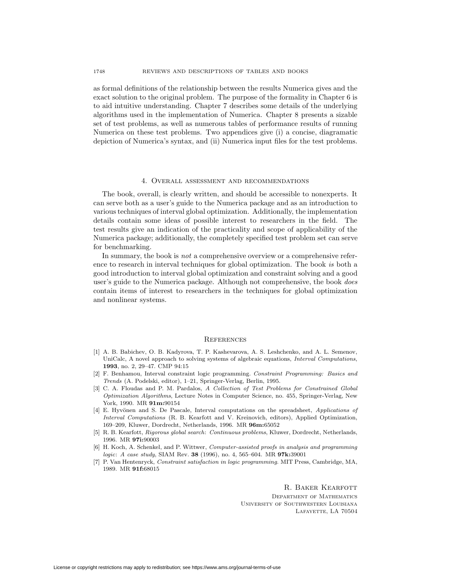as formal definitions of the relationship between the results Numerica gives and the exact solution to the original problem. The purpose of the formality in Chapter 6 is to aid intuitive understanding. Chapter 7 describes some details of the underlying algorithms used in the implementation of Numerica. Chapter 8 presents a sizable set of test problems, as well as numerous tables of performance results of running Numerica on these test problems. Two appendices give (i) a concise, diagramatic depiction of Numerica's syntax, and (ii) Numerica input files for the test problems.

#### 4. Overall assessment and recommendations

The book, overall, is clearly written, and should be accessible to nonexperts. It can serve both as a user's guide to the Numerica package and as an introduction to various techniques of interval global optimization. Additionally, the implementation details contain some ideas of possible interest to researchers in the field. The test results give an indication of the practicality and scope of applicability of the Numerica package; additionally, the completely specified test problem set can serve for benchmarking.

In summary, the book is *not* a comprehensive overview or a comprehensive reference to research in interval techniques for global optimization. The book *is* both a good introduction to interval global optimization and constraint solving and a good user's guide to the Numerica package. Although not comprehensive, the book *does* contain items of interest to researchers in the techniques for global optimization and nonlinear systems.

#### **REFERENCES**

- [1] A. B. Babichev, O. B. Kadyrova, T. P. Kashevarova, A. S. Leshchenko, and A. L. Semenov, UniCalc, A novel approach to solving systems of algebraic equations, *Interval Computations*, **1993**, no. 2, 29–47. CMP 94:15
- [2] F. Benhamou, Interval constraint logic programming. *Constraint Programming: Basics and Trends* (A. Podelski, editor), 1–21, Springer-Verlag, Berlin, 1995.
- [3] C. A. Floudas and P. M. Pardalos, *A Collection of Test Problems for Constrained Global Optimization Algorithms*, Lecture Notes in Computer Science, no. 455, Springer-Verlag, New York, 1990. MR **91m:**90154
- [4] E. Hyv¨onen and S. De Pascale, Interval computations on the spreadsheet, *Applications of Interval Computations* (R. B. Kearfott and V. Kreinovich, editors), Applied Optimization, 169–209, Kluwer, Dordrecht, Netherlands, 1996. MR **96m:**65052
- [5] R. B. Kearfott, *Rigorous global search*: *Continuous problems*, Kluwer, Dordrecht, Netherlands, 1996. MR **97i:**90003
- [6] H. Koch, A. Schenkel, and P. Wittwer, *Computer-assisted proofs in analysis and programming logic*: *A case study*, SIAM Rev. **38** (1996), no. 4, 565–604. MR **97k:**39001
- [7] P. Van Hentenryck, *Constraint satisfaction in logic programming*. MIT Press, Cambridge, MA, 1989. MR **91f:**68015

R. Baker Kearfott

Department of Mathematics University of Southwestern Louisiana Lafayette, LA 70504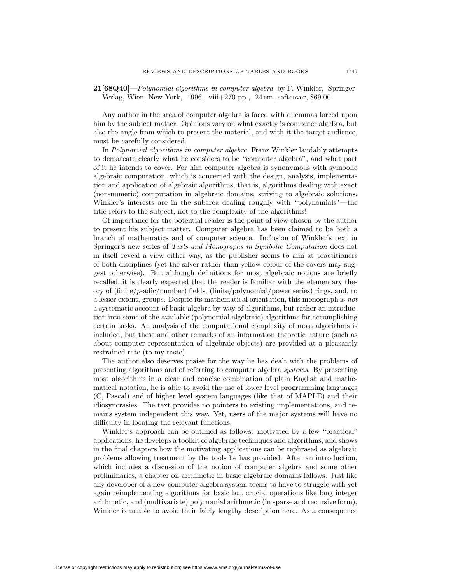# **21[68Q40]**—*Polynomial algorithms in computer algebra*, by F. Winkler, Springer-Verlag, Wien, New York, 1996, viii+270 pp., 24 cm, softcover, \$69.00

Any author in the area of computer algebra is faced with dilemmas forced upon him by the subject matter. Opinions vary on what exactly is computer algebra, but also the angle from which to present the material, and with it the target audience, must be carefully considered.

In *Polynomial algorithms in computer algebra*, Franz Winkler laudably attempts to demarcate clearly what he considers to be "computer algebra", and what part of it he intends to cover. For him computer algebra is synonymous with symbolic algebraic computation, which is concerned with the design, analysis, implementation and application of algebraic algorithms, that is, algorithms dealing with exact (non-numeric) computation in algebraic domains, striving to algebraic solutions. Winkler's interests are in the subarea dealing roughly with "polynomials"—the title refers to the subject, not to the complexity of the algorithms!

Of importance for the potential reader is the point of view chosen by the author to present his subject matter. Computer algebra has been claimed to be both a branch of mathematics and of computer science. Inclusion of Winkler's text in Springer's new series of *Texts and Monographs in Symbolic Computation* does not in itself reveal a view either way, as the publisher seems to aim at practitioners of both disciplines (yet the silver rather than yellow colour of the covers may suggest otherwise). But although definitions for most algebraic notions are briefly recalled, it is clearly expected that the reader is familiar with the elementary theory of (finite/*p*-adic/number) fields, (finite/polynomial/power series) rings, and, to a lesser extent, groups. Despite its mathematical orientation, this monograph is *not* a systematic account of basic algebra by way of algorithms, but rather an introduction into some of the available (polynomial algebraic) algorithms for accomplishing certain tasks. An analysis of the computational complexity of most algorithms is included, but these and other remarks of an information theoretic nature (such as about computer representation of algebraic objects) are provided at a pleasantly restrained rate (to my taste).

The author also deserves praise for the way he has dealt with the problems of presenting algorithms and of referring to computer algebra *systems*. By presenting most algorithms in a clear and concise combination of plain English and mathematical notation, he is able to avoid the use of lower level programming languages (C, Pascal) and of higher level system languages (like that of MAPLE) and their idiosyncrasies. The text provides no pointers to existing implementations, and remains system independent this way. Yet, users of the major systems will have no difficulty in locating the relevant functions.

Winkler's approach can be outlined as follows: motivated by a few "practical" applications, he develops a toolkit of algebraic techniques and algorithms, and shows in the final chapters how the motivating applications can be rephrased as algebraic problems allowing treatment by the tools he has provided. After an introduction, which includes a discussion of the notion of computer algebra and some other preliminaries, a chapter on arithmetic in basic algebraic domains follows. Just like any developer of a new computer algebra system seems to have to struggle with yet again reimplementing algorithms for basic but crucial operations like long integer arithmetic, and (multivariate) polynomial arithmetic (in sparse and recursive form), Winkler is unable to avoid their fairly lengthy description here. As a consequence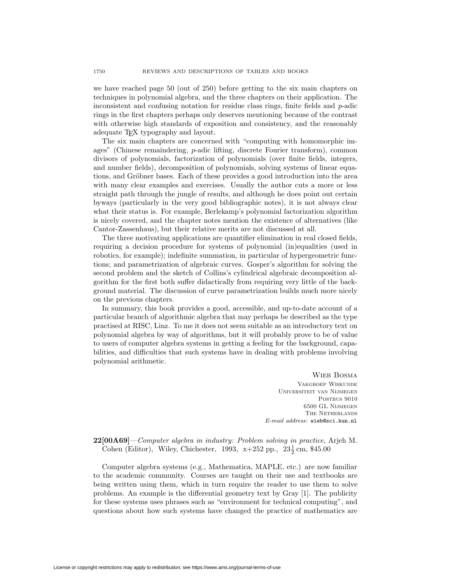we have reached page 50 (out of 250) before getting to the six main chapters on techniques in polynomial algebra, and the three chapters on their application. The inconsistent and confusing notation for residue class rings, finite fields and *p*-adic rings in the first chapters perhaps only deserves mentioning because of the contrast with otherwise high standards of exposition and consistency, and the reasonably adequate T<sub>E</sub>X typography and layout.

The six main chapters are concerned with "computing with homomorphic images" (Chinese remaindering, *p*-adic lifting, discrete Fourier transform), common divisors of polynomials, factorization of polynomials (over finite fields, integers, and number fields), decomposition of polynomials, solving systems of linear equations, and Gröbner bases. Each of these provides a good introduction into the area with many clear examples and exercises. Usually the author cuts a more or less straight path through the jungle of results, and although he does point out certain byways (particularly in the very good bibliographic notes), it is not always clear what their status is. For example, Berlekamp's polynomial factorization algorithm is nicely covered, and the chapter notes mention the existence of alternatives (like Cantor-Zassenhaus), but their relative merits are not discussed at all.

The three motivating applications are quantifier elimination in real closed fields, requiring a decision procedure for systems of polynomial (in)equalities (used in robotics, for example); indefinite summation, in particular of hypergeometric functions; and parametrization of algebraic curves. Gosper's algorithm for solving the second problem and the sketch of Collins's cylindrical algebraic decomposition algorithm for the first both suffer didactically from requiring very little of the background material. The discussion of curve parametrization builds much more nicely on the previous chapters.

In summary, this book provides a good, accessible, and up-to-date account of a particular branch of algorithmic algebra that may perhaps be described as the type practised at RISC, Linz. To me it does not seem suitable as an introductory text on polynomial algebra by way of algorithms, but it will probably prove to be of value to users of computer algebra systems in getting a feeling for the background, capabilities, and difficulties that such systems have in dealing with problems involving polynomial arithmetic.

> Wieb Bosma Vakgroep Wiskunde Universiteit van Nijmegen POSTBUS 9010 6500 GL Nijmegen THE NETHERLANDS *E-mail address*: wieb@sci.kun.nl

**22[00A69]**—*Computer algebra in industry: Problem solving in practice*, Arjeh M. Cohen (Editor), Wiley, Chichester, 1993,  $x+252$  pp.,  $23\frac{1}{2}$  cm, \$45.00

Computer algebra systems (e.g., Mathematica, MAPLE, etc.) are now familiar to the academic community. Courses are taught on their use and textbooks are being written using them, which in turn require the reader to use them to solve problems. An example is the differential geometry text by Gray [1]. The publicity for these systems uses phrases such as "environment for technical computing", and questions about how such systems have changed the practice of mathematics are